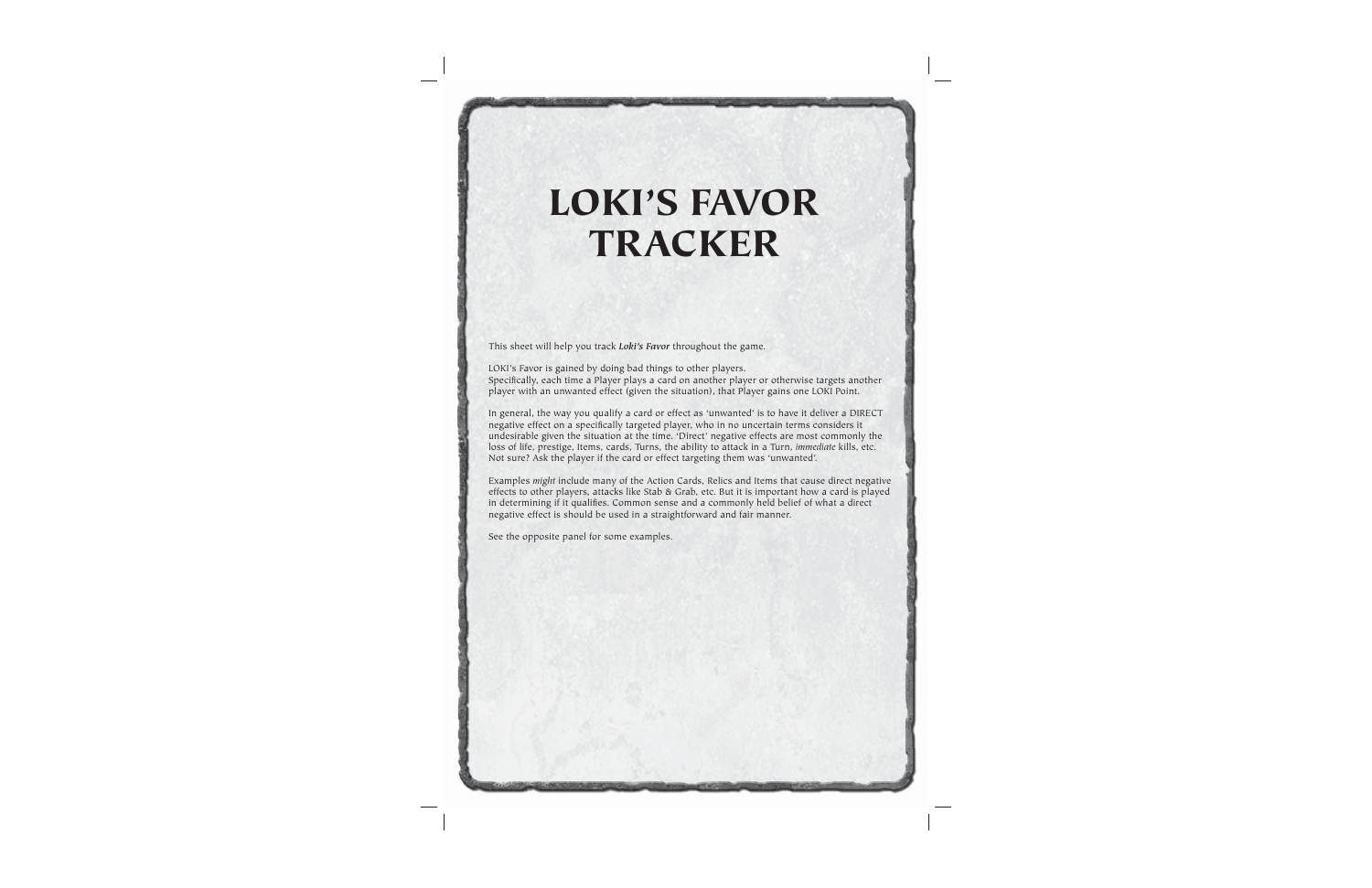# **LOKI'S FAVOR TRACKER**

This sheet will help you track *Loki's Favor* throughout the game.

LOKI's Favor is gained by doing bad things to other players. Specifically, each time a Player plays a card on another player or otherwise targets another player with an unwanted effect (given the situation), that Player gains one LOKI Point.

In general, the way you qualify a card or effect as 'unwanted' is to have it deliver a DIRECT negative effect on a specifically targeted player, who in no uncertain terms considers it undesirable given the situation at the time. 'Direct' negative effects are most commonly the loss of life, prestige, Items, cards, Turns, the ability to attack in a Turn, *immediate* kills, etc. Not sure? Ask the player if the card or effect targeting them was 'unwanted'.

Examples *might* include many of the Action Cards, Relics and Items that cause direct negative effects to other players, attacks like Stab & Grab, etc. But it is important how a card is played in determining if it qualifies. Common sense and a commonly held belief of what a direct negative effect is should be used in a straightforward and fair manner.

See the opposite panel for some examples.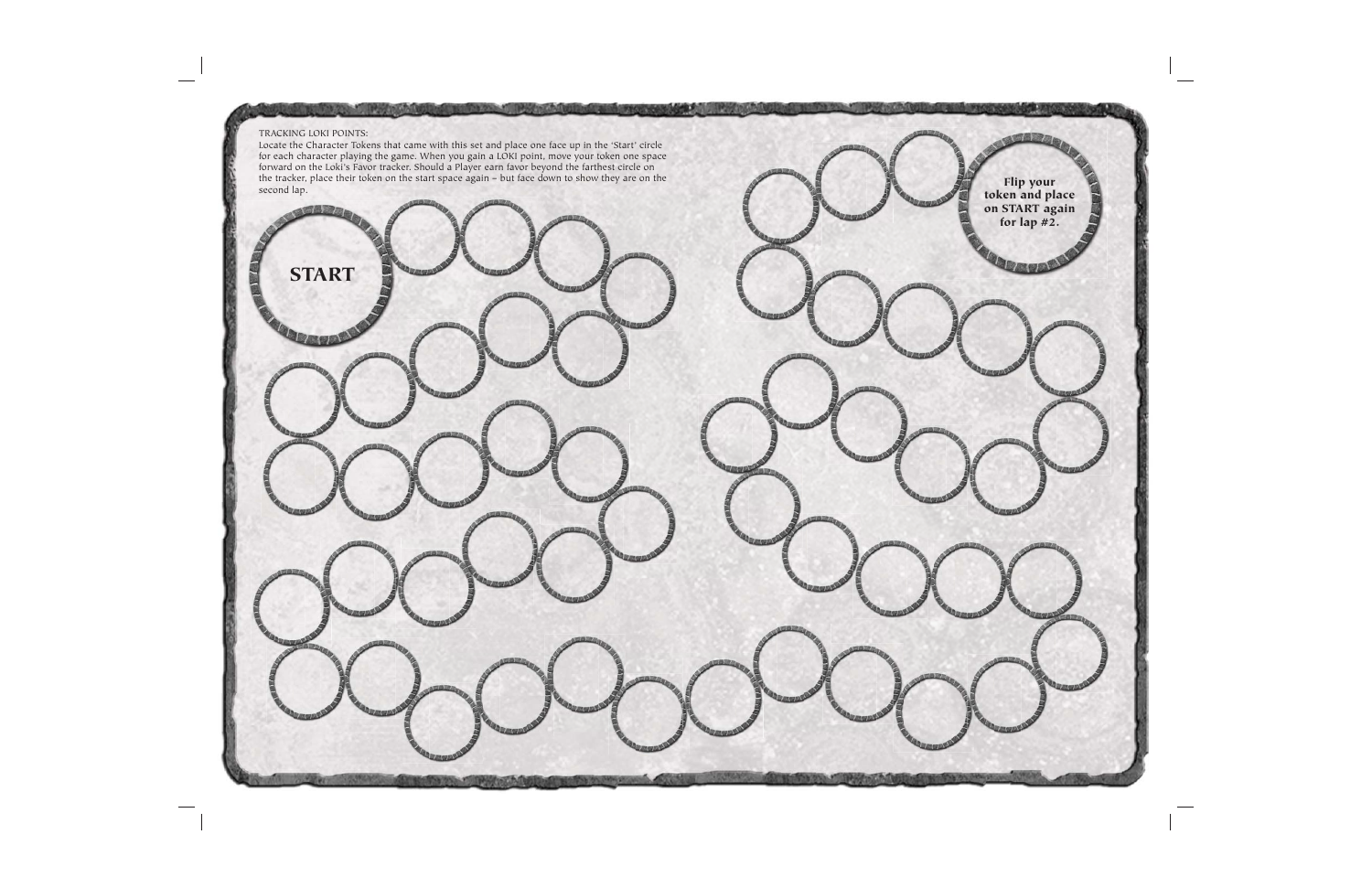



TRACKING LOKI POINTS: Locate the Character Tokens that came with this set and place one face up in the 'Start' circle for each character playing the game. When you gain a LOKI point, move your token one space forward on the Loki's Favor tracker. Should a Player earn favor beyond the farthest circle on